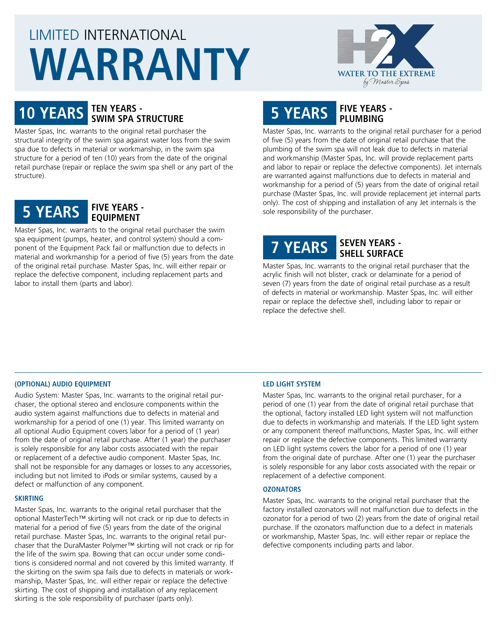# LIMITED INTERNATIONAL **WARRANTY**



# **10 YEARS TEN YEARS - SWIM SPA STRUCTURE**

Master Spas, Inc. warrants to the original retail purchaser the structural integrity of the swim spa against water loss from the swim spa due to defects in material or workmanship, in the swim spa structure for a period of ten (10) years from the date of the original retail purchase (repair or replace the swim spa shell or any part of the structure).



Master Spas, Inc. warrants to the original retail purchaser the swim spa equipment (pumps, heater, and control system) should a component of the Equipment Pack fail or malfunction due to defects in material and workmanship for a period of five (5) years from the date of the original retail purchase. Master Spas, Inc. will either repair or replace the defective component, including replacement parts and labor to install them (parts and labor).

### **5 YEARS FIVE YEARS - PLUMBING**

Master Spas, Inc. warrants to the original retail purchaser for a period of five (5) years from the date of original retail purchase that the plumbing of the swim spa will not leak due to defects in material and workmanship (Master Spas, Inc. will provide replacement parts and labor to repair or replace the defective components). Jet internals are warranted against malfunctions due to defects in material and workmanship for a period of (5) years from the date of original retail purchase (Master Spas, Inc. will provide replacement jet internal parts only). The cost of shipping and installation of any Jet internals is the sole responsibility of the purchaser.

## **7 YEARS SEVEN YEARS - SHELL SURFACE**

Master Spas, Inc. warrants to the original retail purchaser that the acrylic finish will not blister, crack or delaminate for a period of seven (7) years from the date of original retail purchase as a result of defects in material or workmanship. Master Spas, Inc. will either repair or replace the defective shell, including labor to repair or replace the defective shell.

#### **(OPTIONAL) AUDIO EQUIPMENT**

Audio System: Master Spas, Inc. warrants to the original retail purchaser, the optional stereo and enclosure components within the audio system against malfunctions due to defects in material and workmanship for a period of one (1) year. This limited warranty on all optional Audio Equipment covers labor for a period of (1 year) from the date of original retail purchase. After (1 year) the purchaser is solely responsible for any labor costs associated with the repair or replacement of a defective audio component. Master Spas, Inc. shall not be responsible for any damages or losses to any accessories, including but not limited to iPods or similar systems, caused by a defect or malfunction of any component.

#### **SKIRTING**

Master Spas, Inc. warrants to the original retail purchaser that the optional MasterTech™ skirting will not crack or rip due to defects in material for a period of five (5) years from the date of the original retail purchase. Master Spas, Inc. warrants to the original retail purchaser that the DuraMaster Polymer™ skirting will not crack or rip for the life of the swim spa. Bowing that can occur under some conditions is considered normal and not covered by this limited warranty. If the skirting on the swim spa fails due to defects in materials or workmanship, Master Spas, Inc. will either repair or replace the defective skirting. The cost of shipping and installation of any replacement skirting is the sole responsibility of purchaser (parts only).

#### **LED LIGHT SYSTEM**

Master Spas, Inc. warrants to the original retail purchaser, for a period of one (1) year from the date of original retail purchase that the optional, factory installed LED light system will not malfunction due to defects in workmanship and materials. If the LED light system or any component thereof malfunctions, Master Spas, Inc. will either repair or replace the defective components. This limited warranty on LED light systems covers the labor for a period of one (1) year from the original date of purchase. After one (1) year the purchaser is solely responsible for any labor costs associated with the repair or replacement of a defective component.

#### **OZONATORS**

Master Spas, Inc. warrants to the original retail purchaser that the factory installed ozonators will not malfunction due to defects in the ozonator for a period of two (2) years from the date of original retail purchase. If the ozonators malfunction due to a defect in materials or workmanship, Master Spas, Inc. will either repair or replace the defective components including parts and labor.